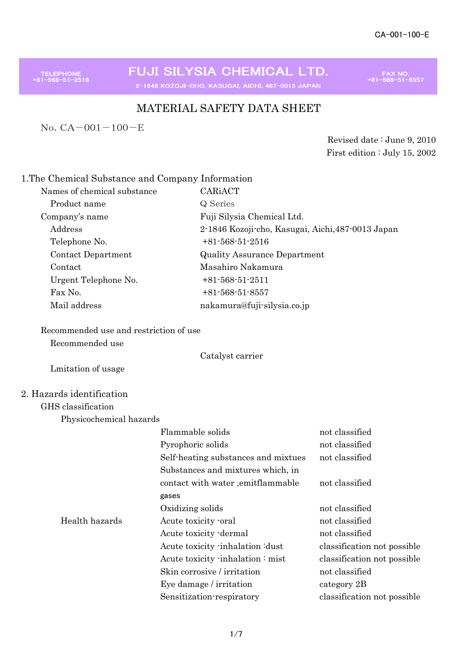TELEPHONE<br>81-568-51-2516

FUJI SILYSIA CHEMICAL LTD. 2-1846 KOZOJI-CHO, KASUGAI, AICHI, 487-0013 JAPAN

FAX NO.<br>+81-568-51-8557

# MATERIAL SAFETY DATA SHEET

No.CA-001-100-E

Revised date : June 9, 2010 First edition : July 15, 2002

## 1.The Chemical Substance and Company Information

| Names of chemical substance | CARIACT                                           |
|-----------------------------|---------------------------------------------------|
| Product name                | Q Series                                          |
| Company's name              | Fuji Silysia Chemical Ltd.                        |
| Address                     | 2-1846 Kozoji-cho, Kasugai, Aichi, 487-0013 Japan |
| Telephone No.               | $+81-568-51-2516$                                 |
| Contact Department          | <b>Quality Assurance Department</b>               |
| Contact                     | Masahiro Nakamura                                 |
| Urgent Telephone No.        | $+81-568-51-2511$                                 |
| Fax No.                     | $+81-568-51-8557$                                 |
| Mail address                | nakamura@fuji-silysia.co.jp                       |

# Recommended use and restriction of use

Recommended use

Catalyst carrier

Lmitation of usage

### 2. Hazards identification

Physicochemical hazards

|                | Flammable solids                    | not classified              |
|----------------|-------------------------------------|-----------------------------|
|                | Pyrophoric solids                   | not classified              |
|                | Self-heating substances and mixtues | not classified              |
|                | Substances and mixtures which, in   |                             |
|                | contact with water , emitflammable  | not classified              |
|                | gases                               |                             |
|                | Oxidizing solids                    | not classified              |
| Health hazards | Acute toxicity oral                 | not classified              |
|                | Acute toxicity dermal               | not classified              |
|                | Acute toxicity inhalation idust     | classification not possible |
|                | Acute toxicity inhalation: mist     | classification not possible |
|                | Skin corrosive / irritation         | not classified              |
|                | Eye damage / irritation             | category 2B                 |
|                | Sensitization-respiratory           | classification not possible |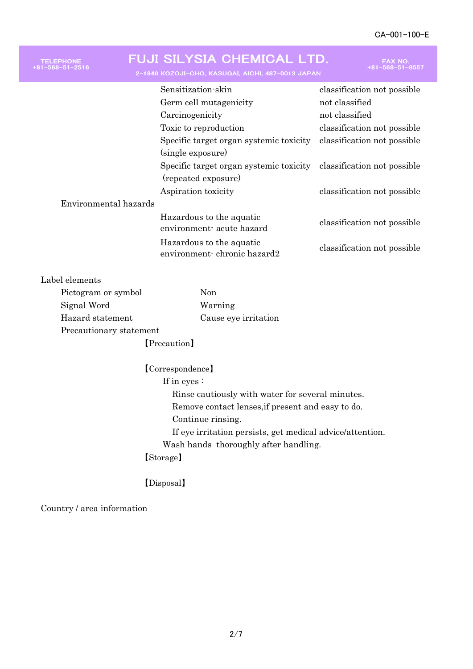| <b>FELEPHONE</b><br>-568-51-2516 | FUJI SILYSIA CHEMICAL LTD.<br>2-1846 KOZOJI-CHO, KASUGAI, AICHI, 487-0013 JAPAN | <b>FAX NO</b><br>$+81 - 568 - 51 - 8557$ |
|----------------------------------|---------------------------------------------------------------------------------|------------------------------------------|
|                                  | Sensitization-skin                                                              | classification not possible              |
|                                  | Germ cell mutagenicity                                                          | not classified                           |
|                                  | Carcinogenicity                                                                 | not classified                           |
|                                  | Toxic to reproduction                                                           | classification not possible              |
|                                  | Specific target organ systemic toxicity                                         | classification not possible              |
|                                  | (single exposure)                                                               |                                          |
|                                  | Specific target organ systemic toxicity<br>(repeated exposure)                  | classification not possible              |
|                                  | Aspiration toxicity                                                             | classification not possible              |
| Environmental hazards            |                                                                                 |                                          |
|                                  | Hazardous to the aquatic<br>environment-acute hazard                            | classification not possible              |
|                                  | Hazardous to the aquatic<br>environment chronic hazard2                         | classification not possible              |
|                                  |                                                                                 |                                          |

## Label elements

| Pictogram or symbol     | Non                  |
|-------------------------|----------------------|
| Signal Word             | Warning              |
| Hazard statement        | Cause eye irritation |
| Precautionary statement |                      |
| [Precaution]            |                      |

【Correspondence】 If in eyes : Rinse cautiously with water for several minutes. Remove contact lenses,if present and easy to do. Continue rinsing. If eye irritation persists, get medical advice/attention. Wash hands thoroughly after handling. 【Storage】

## 【Disposal】

Country / area information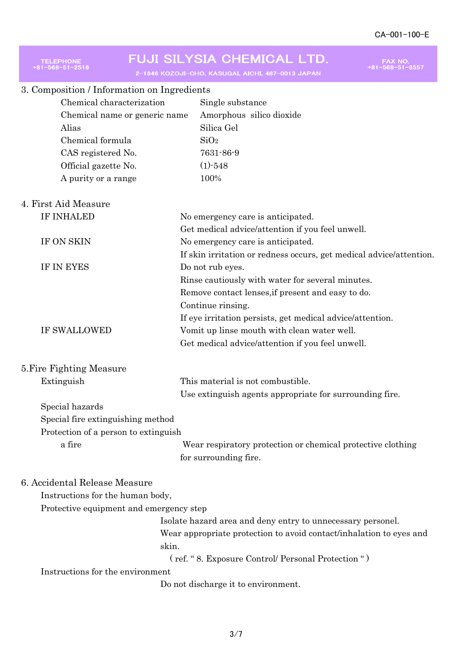| <b>TELEPHONE</b>                                                  | FUJI SILYSIA CHEMICAL LTD.<br>FAX NO<br>-568–51–8557<br>2-1846 KOZOJI-CHO, KASUGAI, AICHI, 487-0013 JAPAN |
|-------------------------------------------------------------------|-----------------------------------------------------------------------------------------------------------|
| 3. Composition / Information on Ingredients                       |                                                                                                           |
| Chemical characterization                                         | Single substance                                                                                          |
| Chemical name or generic name                                     | Amorphous silico dioxide                                                                                  |
| Alias                                                             | Silica Gel                                                                                                |
| Chemical formula                                                  | SiO <sub>2</sub>                                                                                          |
| CAS registered No.                                                | 7631-86-9                                                                                                 |
| Official gazette No.                                              | $(1)$ -548                                                                                                |
| A purity or a range                                               | 100%                                                                                                      |
| 4. First Aid Measure                                              |                                                                                                           |
| <b>IF INHALED</b>                                                 | No emergency care is anticipated.                                                                         |
|                                                                   | Get medical advice/attention if you feel unwell.                                                          |
| IF ON SKIN                                                        | No emergency care is anticipated.                                                                         |
|                                                                   | If skin irritation or redness occurs, get medical advice/attention.                                       |
| IF IN EYES                                                        | Do not rub eyes.                                                                                          |
|                                                                   | Rinse cautiously with water for several minutes.                                                          |
|                                                                   | Remove contact lenses, if present and easy to do.                                                         |
|                                                                   | Continue rinsing.                                                                                         |
|                                                                   | If eye irritation persists, get medical advice/attention.                                                 |
| <b>IF SWALLOWED</b>                                               | Vomit up linse mouth with clean water well.                                                               |
|                                                                   | Get medical advice/attention if you feel unwell.                                                          |
| 5. Fire Fighting Measure                                          |                                                                                                           |
| Extinguish                                                        | This material is not combustible.                                                                         |
|                                                                   | Use extinguish agents appropriate for surrounding fire.                                                   |
| Special hazards                                                   |                                                                                                           |
| Special fire extinguishing method                                 |                                                                                                           |
| Protection of a person to extinguish                              |                                                                                                           |
| a fire                                                            | Wear respiratory protection or chemical protective clothing                                               |
|                                                                   | for surrounding fire.                                                                                     |
| 6. Accidental Release Measure<br>Instructions for the human body, |                                                                                                           |
| Protective equipment and emergency step                           |                                                                                                           |
|                                                                   | Isolate hazard area and deny entry to unnecessary personel.                                               |
|                                                                   | Wear appropriate protection to avoid contact/inhalation to eyes and                                       |
| skin.                                                             |                                                                                                           |
|                                                                   | (ref. "8. Exposure Control/ Personal Protection ")                                                        |
| Instructions for the environment                                  |                                                                                                           |
|                                                                   | Do not discharge it to environment.                                                                       |
|                                                                   |                                                                                                           |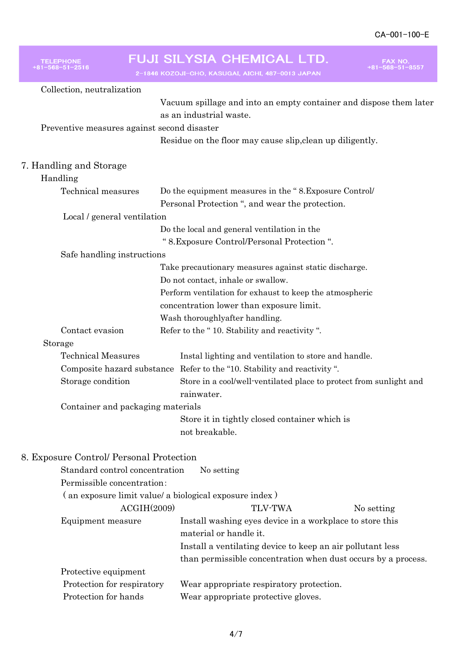÷

| <b>TELEPHONE</b>                                       | FUJI SILYSIA CHEMICAL LTD.<br>FAX NO.                                   |
|--------------------------------------------------------|-------------------------------------------------------------------------|
|                                                        | 2-1846 KOZOJI-CHO, KASUGAI, AICHI, 487-0013 JAPAN                       |
| Collection, neutralization                             |                                                                         |
|                                                        | Vacuum spillage and into an empty container and dispose them later      |
|                                                        | as an industrial waste.                                                 |
| Preventive measures against second disaster            |                                                                         |
|                                                        | Residue on the floor may cause slip, clean up diligently.               |
|                                                        |                                                                         |
| 7. Handling and Storage<br>Handling                    |                                                                         |
| Technical measures                                     | Do the equipment measures in the "8. Exposure Control                   |
|                                                        | Personal Protection ", and wear the protection.                         |
| Local / general ventilation                            |                                                                         |
|                                                        | Do the local and general ventilation in the                             |
|                                                        | " 8. Exposure Control/Personal Protection".                             |
| Safe handling instructions                             |                                                                         |
|                                                        | Take precautionary measures against static discharge.                   |
|                                                        | Do not contact, inhale or swallow.                                      |
|                                                        | Perform ventilation for exhaust to keep the atmospheric                 |
|                                                        | concentration lower than exposure limit.                                |
|                                                        | Wash thoroughlyafter handling.                                          |
| Contact evasion                                        | Refer to the "10. Stability and reactivity".                            |
| Storage                                                |                                                                         |
| <b>Technical Measures</b>                              | Instal lighting and ventilation to store and handle.                    |
|                                                        | Composite hazard substance Refer to the "10. Stability and reactivity". |
| Storage condition                                      | Store in a cool/well-ventilated place to protect from sunlight and      |
|                                                        | rainwater.                                                              |
| Container and packaging materials                      |                                                                         |
|                                                        | Store it in tightly closed container which is                           |
|                                                        | not breakable.                                                          |
| 8. Exposure Control/ Personal Protection               |                                                                         |
| Standard control concentration                         | No setting                                                              |
| Permissible concentration:                             |                                                                         |
| (an exposure limit value/ a biological exposure index) |                                                                         |
| ACGIH(2009)                                            | <b>TLV-TWA</b><br>No setting                                            |
| Equipment measure                                      | Install washing eyes device in a workplace to store this                |
|                                                        | material or handle it.                                                  |
|                                                        | Install a ventilating device to keep an air pollutant less              |
|                                                        | than permissible concentration when dust occurs by a process.           |
| Protective equipment                                   |                                                                         |
| Protection for respiratory                             | Wear appropriate respiratory protection.                                |
| Protection for hands                                   | Wear appropriate protective gloves.                                     |
|                                                        |                                                                         |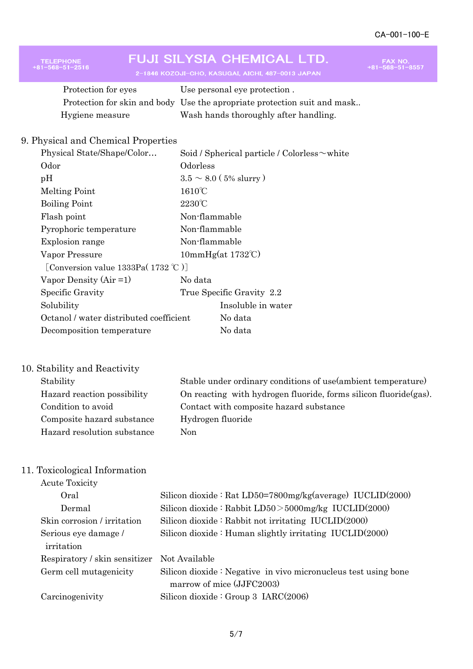FAX NO.<br>+81-568-51-8557

# FUJI SILYSIA CHEMICAL LTD.

2-1846 KOZOJI-CHO, KASUGAI, AICHI, 487-0013 JAPAN

| Protection for eyes | Use personal eye protection.                                             |
|---------------------|--------------------------------------------------------------------------|
|                     | Protection for skin and body Use the apropriate protection suit and mask |
| Hygiene measure     | Wash hands thoroughly after handling.                                    |

## 9. Physical and Chemical Properties

TELEPHONE<br>+81-568-51-2516

| Physical State/Shape/Color              | Soid / Spherical particle / Colorless $\sim$ white |
|-----------------------------------------|----------------------------------------------------|
| Odor                                    | Odorless                                           |
| pH                                      | $3.5 \sim 8.0$ (5% slurry)                         |
| Melting Point                           | $1610^{\circ}$ C                                   |
| <b>Boiling Point</b>                    | $2230^{\circ}$ C                                   |
| Flash point                             | Non-flammable                                      |
| Pyrophoric temperature                  | Non-flammable                                      |
| Explosion range                         | Non-flammable                                      |
| Vapor Pressure                          | $10mmHg(at 1732^{\circ}C)$                         |
| [Conversion value 1333Pa( $1732$ °C)]   |                                                    |
| Vapor Density $(Air = 1)$               | No data                                            |
| Specific Gravity                        | True Specific Gravity 2.2                          |
| Solubility                              | Insoluble in water                                 |
| Octanol / water distributed coefficient | No data                                            |
| Decomposition temperature               | No data                                            |
|                                         |                                                    |

## 10. Stability and Reactivity

| Stable under ordinary conditions of use (ambient temperature)     |
|-------------------------------------------------------------------|
| On reacting with hydrogen fluoride, forms silicon fluoride (gas). |
| Contact with composite hazard substance                           |
| Hydrogen fluoride                                                 |
| Non.                                                              |
|                                                                   |

# 11. Toxicological Information

| <b>Acute Toxicity</b>         |                                                                |
|-------------------------------|----------------------------------------------------------------|
| Oral                          | Silicon dioxide: Rat LD50=7800mg/kg(average) IUCLID(2000)      |
| Dermal                        | Silicon dioxide : Rabbit $LD50 > 5000$ mg/kg $IUCLID(2000)$    |
| Skin corrosion / irritation   | Silicon dioxide $:$ Rabbit not irritating IUCLID $(2000)$      |
| Serious eye damage /          | Silicon dioxide: Human slightly irritating IUCLID(2000)        |
| irritation                    |                                                                |
| Respiratory / skin sensitizer | Not Available                                                  |
| Germ cell mutagenicity        | Silicon dioxide: Negative in vivo micronucleus test using bone |
|                               | marrow of mice (JJFC2003)                                      |
| Carcinogenivity               | Silicon dioxide : Group 3 $IARC(2006)$                         |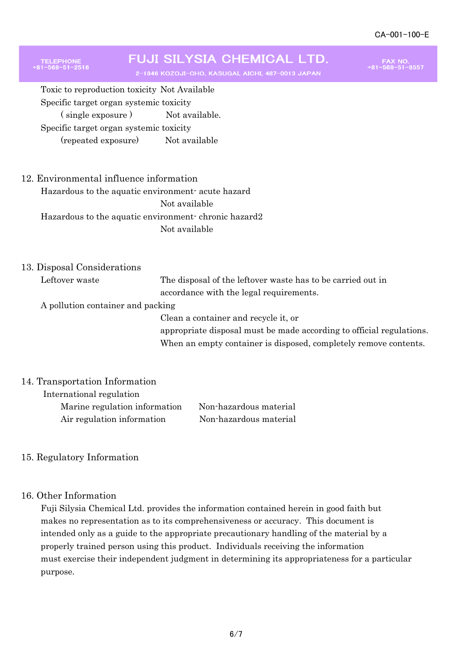# **FUJI SILYSIA CHEMICAL LTD.**

2-1846 KOZOJI-CHO, KASUGAI, AICHI, 487-0013 JAPAN

FAX NO.<br>+81-568-51-8557

Toxic to reproduction toxicity Not Available Specific target organ systemic toxicity (single exposure) Not available. Specific target organ systemic toxicity (repeated exposure) Not available

### 12. Environmental influence information

Hazardous to the aquatic environment- acute hazard Not available Hazardous to the aquatic environment- chronic hazard2 Not available

13. Disposal Considerations

TELEPHONE<br>81-568-51-2516

Leftover waste The disposal of the leftover waste has to be carried out in accordance with the legal requirements. A pollution container and packing Clean a container and recycle it, or

> appropriate disposal must be made according to official regulations. When an empty container is disposed, completely remove contents.

#### 14. Transportation Information

 International regulation Marine regulation information Non-hazardous material Air regulation information Non-hazardous material

### 15. Regulatory Information

#### 16. Other Information

Fuji Silysia Chemical Ltd. provides the information contained herein in good faith but makes no representation as to its comprehensiveness or accuracy. This document is intended only as a guide to the appropriate precautionary handling of the material by a properly trained person using this product. Individuals receiving the information must exercise their independent judgment in determining its appropriateness for a particular purpose.